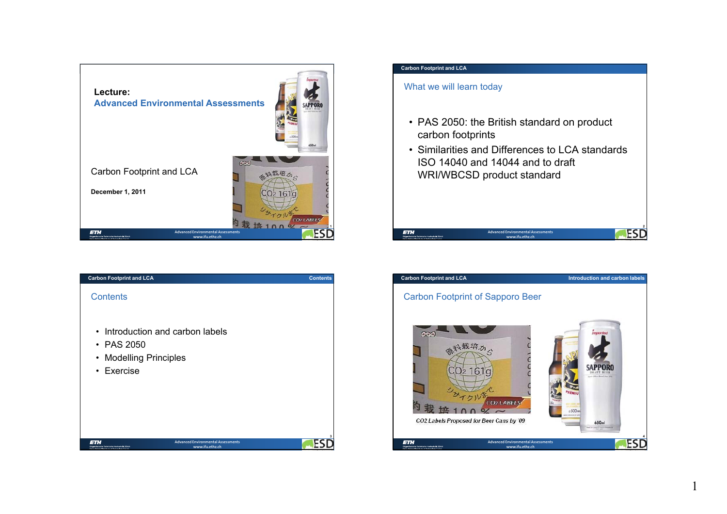

| <b>Carbon Footprint and LCA</b>                                                              | <b>Contents</b> |
|----------------------------------------------------------------------------------------------|-----------------|
| <b>Contents</b>                                                                              |                 |
| • Introduction and carbon labels<br>$\cdot$ PAS 2050<br>• Modelling Principles<br>• Exercise |                 |
|                                                                                              | 3               |

# What we will learn today • PAS 2050: the British standard on product carbon footprints • Similarities and Differences to LCA standards ISO 14040 and 14044 and to draft WRI/WBCSD product standard **2ESD ETH Advanced Environmental Assessments**

**Carbon Footprint and LCA**



**www.ifu.ethz.ch**

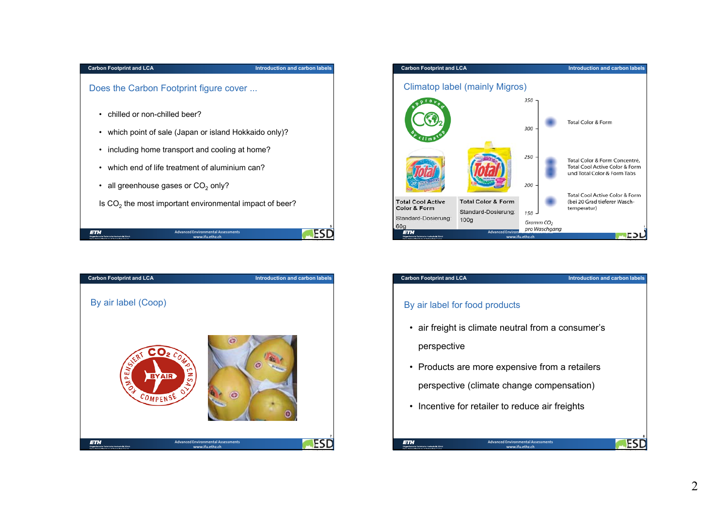#### **Introduction and carbon labels**

Does the Carbon Footprint figure cover ...

- chilled or non-chilled beer?
- which point of sale (Japan or island Hokkaido only)?
- including home transport and cooling at home?
- which end of life treatment of aluminium can?
- all greenhouse gases or CO<sub>2</sub> only?

Is CO $_2$  the most important environmental impact of beer?

| <b>ETH</b><br>Eidzenössische Technische Hochschule Zürich<br>Survey Godwell Accritects of Technology Postels. | <b>Advanced Environmental Assessments</b><br>www.ifu.ethz.ch |  |
|---------------------------------------------------------------------------------------------------------------|--------------------------------------------------------------|--|





| <b>Carbon Footprint and LCA</b>                       |                                                                                              | Introduction and carbon labels |
|-------------------------------------------------------|----------------------------------------------------------------------------------------------|--------------------------------|
| By air label for food products                        |                                                                                              |                                |
| perspective                                           | • air freight is climate neutral from a consumer's                                           |                                |
|                                                       | • Products are more expensive from a retailers                                               |                                |
|                                                       | perspective (climate change compensation)<br>• Incentive for retailer to reduce air freights |                                |
|                                                       |                                                                                              |                                |
| l 31 :<br>Eidpenössische Technische Hochschule Zürich | <b>Advanced Environmental Assessments</b><br>www.ifu.ethz.ch                                 |                                |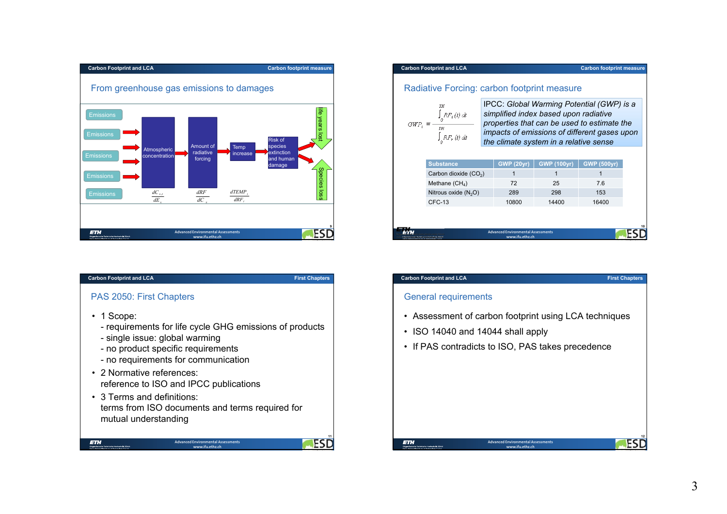

**First Chapters**

**11**

**FS** 

## PAS 2050: First Chapters

- 1 Scope:
	- requirements for life cycle GHG emissions of products
	- single issue: global warming
	- no product specific requirements
	- no requirements for communication
- 2 Normative references: reference to ISO and IPCC publications
- 3 Terms and definitions:terms from ISO documents and terms required for mutual understanding

**Advanced Environmental Assessments www.ifu.ethz.ch**

#### **Carbon Footprint and LCA Carbon footprint measure** Radiative Forcing: carbon footprint measure IPCC: *Global Warming Potential (GWP) is a*   $\int RF_i(t) dt$ *simplified index based upon radiative properties that can be used to estimate the*   $GWP_i \equiv$ TH *impacts of emissions of different gases upon*

| Carbon dioxide $(CO2)$ | GWP (20yr) | <b>GWP (100yr)</b> | <b>GWP (500yr)</b> |
|------------------------|------------|--------------------|--------------------|
| Methane $(CH_4)$       | 72         | 25                 | 7.6                |
| Nitrous oxide $(N_2O)$ | 289        | 298                | 153                |
| CFC-13                 | 10800      | 14400              | 16400              |
|                        |            |                    |                    |

*the climate system in a relative sense*

#### **Carbon Footprint and LCA**

## General requirements

 $R F_r(t) dt$ 

- Assessment of carbon footprint using LCA techniques
- ISO 14040 and 14044 shall apply
- If PAS contradicts to ISO, PAS takes precedence

## **ETH**



**10**

**First Chapters**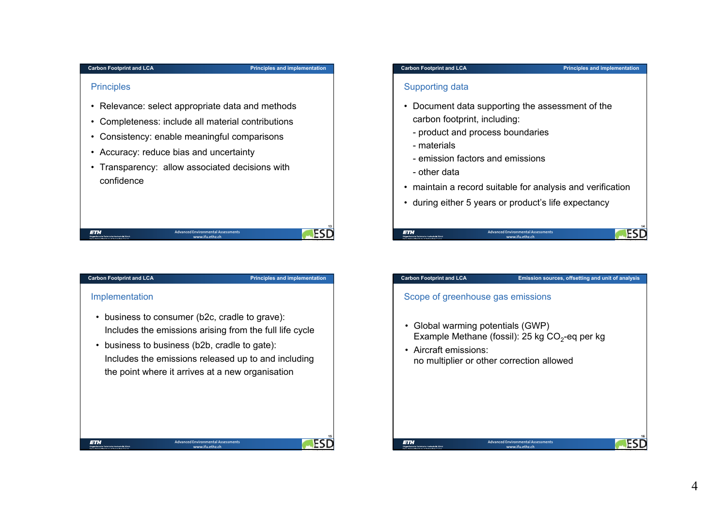#### **Principles and implementation**

## **Principles**

- Relevance: select appropriate data and methods
- Completeness: include all material contributions
- Consistency: enable meaningful comparisons
- Accuracy: reduce bias and uncertainty
- Transparency: allow associated decisions with confidence

# **Carbon Footprint and LCA**

**ETH** 

**Principles and implementation**

## Implementation

• business to consumer (b2c, cradle to grave): Includes the emissions arising from the full life cycle

**Advanced Environmental Assessmentswww.ifu.ethz.ch**

• business to business (b2b, cradle to gate): Includes the emissions released up to and including the point where it arrives at a new organisation

> **Advanced Environmental Assessments www.ifu.ethz.ch**

#### **Principles and implementation**

**14ESD** 

**16**

ES

## Supporting data

- Document data supporting the assessment of the carbon footprint, including:
	- product and process boundaries
	- materials
	- emission factors and emissions
	- other data
- maintain a record suitable for analysis and verification
- during either 5 years or product's life expectancy



**ETH** 

## **Advanced Environmental Assessments**

**www.ifu.ethz.ch**

## **Carbon Footprint and LCA Emission sources, offsetting and unit of analysis**

## Scope of greenhouse gas emissions

• Global warming potentials (GWP) Example Methane (fossil): 25 kg  $CO<sub>2</sub>$ -eq per kg

> **Advanced Environmental Assessments www.ifu.ethz.ch**

• Aircraft emissions:no multiplier or other correction allowed

**13ESD** 

ETH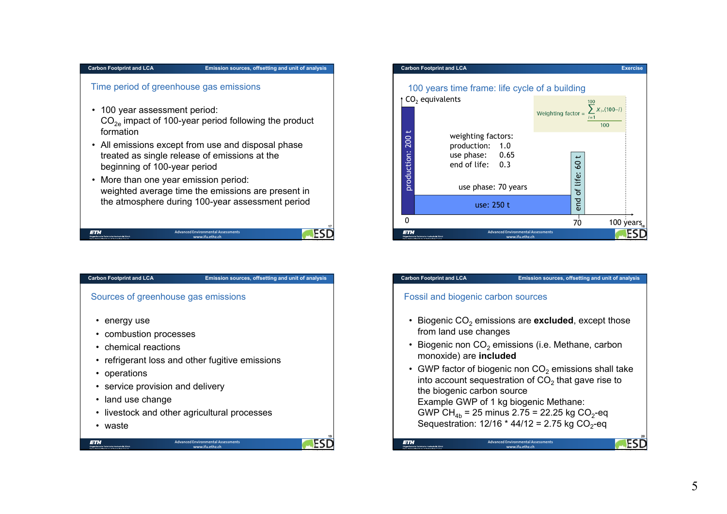#### **Emission sources, offsetting and unit of analysis**

## Time period of greenhouse gas emissions

- 100 year assessment period:  $\mathsf{CO}_{\mathsf{2e}}$  impact of 100-year period following the product formation
- All emissions except from use and disposal phase treated as single release of emissions at the beginning of 100-year period
- More than one year emission period: weighted average time the emissions are present in the atmosphere during 100-year assessment period

| <b>ETH</b><br>Eidzenössische Technische Hochschule Zürich<br>Suder Federal Institute of Technology Portch- | <b>Advanced Environmental Assessments</b><br>www.ifu.ethz.ch |  |
|------------------------------------------------------------------------------------------------------------|--------------------------------------------------------------|--|





| <b>Carbon Footprint and LCA</b>       | Emission sources, offsetting and unit of analysis                                                                                   |
|---------------------------------------|-------------------------------------------------------------------------------------------------------------------------------------|
| Fossil and biogenic carbon sources    |                                                                                                                                     |
| from land use changes                 | • Biogenic $CO2$ emissions are <b>excluded</b> , except those                                                                       |
| monoxide) are included                | • Biogenic non $CO2$ emissions (i.e. Methane, carbon                                                                                |
| the biogenic carbon source            | • GWP factor of biogenic non $CO2$ emissions shall take<br>into account sequestration of $CO2$ that gave rise to                    |
| Example GWP of 1 kg biogenic Methane: | GWP CH <sub>4h</sub> = 25 minus 2.75 = 22.25 kg CO <sub>2</sub> -eq<br>Sequestration: $12/16 * 44/12 = 2.75$ kg CO <sub>2</sub> -eq |
|                                       | And the compact the contract company of the first property of the                                                                   |

ichschule Züri

**Advanced Environmental Assessmentswww.ifu.ethz.ch**

**E3**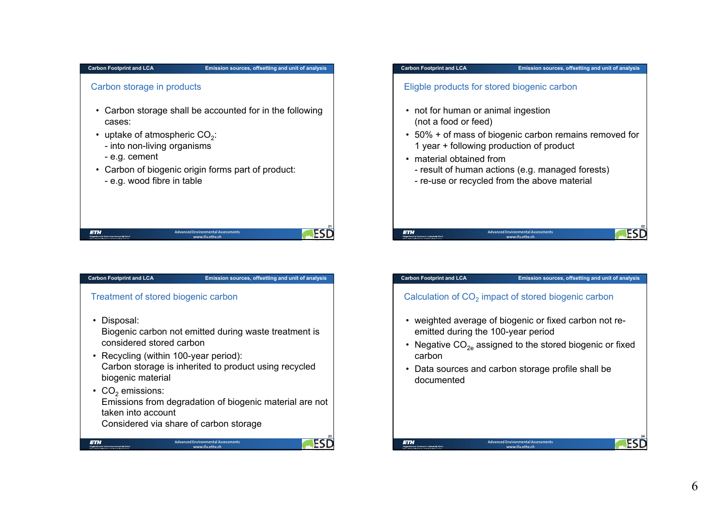#### **Emission sources, offsetting and unit of analysis**

## Carbon storage in products

- Carbon storage shall be accounted for in the following cases:
- uptake of atmospheric CO<sub>2</sub>:
	- into non-living organisms
	- e.g. cement
- Carbon of biogenic origin forms part of product:
	- e.g. wood fibre in table

| <b>ETH</b>                                                                                     | Advanced Environmental Assessments |  |
|------------------------------------------------------------------------------------------------|------------------------------------|--|
| Eidgenössische Technische Hochschule Zürich<br>Society Endurol Antibotic of Technology Portek- | www.ifu.ethz.ch                    |  |

## **Carbon Footprint and LCA Emission sources, offsetting and unit of analysis**

# Treatment of stored biogenic carbon

• Disposal:

**ETH** 

Biogenic carbon not emitted during waste treatment is considered stored carbon

- Recycling (within 100-year period): Carbon storage is inherited to product using recycled biogenic material
- $\mathrm{CO}_2$  emissions: Emissions from degradation of biogenic material are not taken into account

Considered via share of carbon storage



**21**

**ESD** 

#### **Carbon Footprint and LCA**

#### **Emission sources, offsetting and unit of analysis**

## Eligble products for stored biogenic carbon

- not for human or animal ingestion (not a food or feed)
- 50% + of mass of biogenic carbon remains removed for 1 year + following production of product
- material obtained from
	- result of human actions (e.g. managed forests)

**Advanced Environmental Assessment www.ifu.ethz.ch**

- re-use or recycled from the above material

## **Carbon Footprint and LCA**

**ETH** 

## **Emission sources, offsetting and unit of analysis**

## Calculation of CO $_2$  impact of stored biogenic carbon

- weighted average of biogenic or fixed carbon not reemitted during the 100-year period
- Negative CO $_{2e}$  assigned to the stored biogenic or fixed carbon
- Data sources and carbon storage profile shall be documented



**22**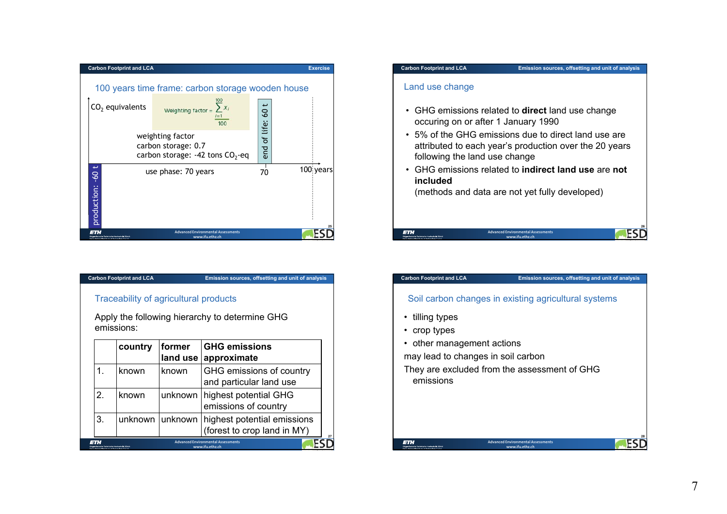

**Emission sources, offsetting and unit of analysis**

## Traceability of agricultural products

Apply the following hierarchy to determine GHG emissions:

|                                                    | country                                    | former<br>land use | <b>GHG emissions</b><br>approximate                          |
|----------------------------------------------------|--------------------------------------------|--------------------|--------------------------------------------------------------|
|                                                    | known                                      | known              | GHG emissions of country<br>and particular land use          |
| 2                                                  | known                                      | unknown            | highest potential GHG<br>emissions of country                |
| 3.                                                 |                                            | unknown unknown    | highest potential emissions<br>(forest to crop land in MY)   |
| Custom Eastered Boottforter of Teatron bank Zortel | dresössische Technische Horisschule Zürich |                    | <b>Advanced Environmental Assessments</b><br>www.ifu.ethz.ch |



#### **Carbon Footprint and LCA**

## **Emission sources, offsetting and unit of analysis**

**28**

ES

## Soil carbon changes in existing agricultural systems

- tilling types
- crop types
- other management actions

may lead to changes in soil carbon

They are excluded from the assessment of GHG emissions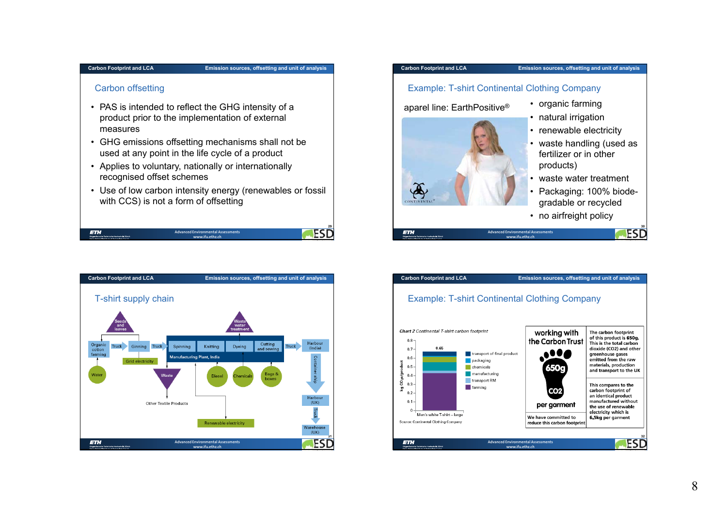#### **Emission sources, offsetting and unit of analysis**

## Carbon offsetting

- PAS is intended to reflect the GHG intensity of a product prior to the implementation of external measures
- GHG emissions offsetting mechanisms shall not be used at any point in the life cycle of a product
- Applies to voluntary, nationally or internationally recognised offset schemes
- Use of low carbon intensity energy (renewables or fossil with CCS) is not a form of offsetting

|                                                                                                        |                                                              | 29 |
|--------------------------------------------------------------------------------------------------------|--------------------------------------------------------------|----|
| farit<br>Eidzenössische Technische Hochschule Zürich<br>Surfer Godard Arctificts of Technology Toylet- | <b>Advanced Environmental Assessments</b><br>www.ifu.ethz.ch |    |

| <b>Carbon Footprint and LCA</b>                                                                                                                                | Emission sources, offsetting and unit of analysis                                                                                                                                                                                                                                                                                                              |
|----------------------------------------------------------------------------------------------------------------------------------------------------------------|----------------------------------------------------------------------------------------------------------------------------------------------------------------------------------------------------------------------------------------------------------------------------------------------------------------------------------------------------------------|
| T-shirt supply chain<br>'Seeds<br>and<br>leaves<br>Organic<br><b>Truck</b><br>Ginning<br><b>Truck</b><br>cotton<br>farming<br><b>Grid electricity</b><br>Water | Waste<br>water<br>treatment<br>Harbour<br>Cutting<br>Dyeing<br><b>Truck</b><br>Spinning<br>Knitting<br>(India)<br>and sewing<br>Manufacturing Plant, India<br><b>Container ship</b><br>Bags &<br>Waste<br><b>Diesel</b><br>Chemicals<br>boxes<br>Harbour<br>(UK)<br><b>Other Textile Products</b><br><b>Iruc</b><br>Renewable electricity<br>Warehouse<br>(UK) |
| <b>ETH</b><br>Eidgenössische Technische Hochschule Zürich<br>Codes Federal Institute of Technology Turich                                                      | <b>Advanced Environmental Assessments</b><br>www.ifu.ethz.ch                                                                                                                                                                                                                                                                                                   |

#### **Carbon Footprint and LCA**

# Example: T-shirt Continental Clothing Company

aparel line: EarthPositive®

• organic farming



- natural irrigation
- renewable electricity
- waste handling (used as fertilizer or in other products)
- waste water treatment
- Packaging: 100% biodegradable or recycled

**30**

• no airfreight policy



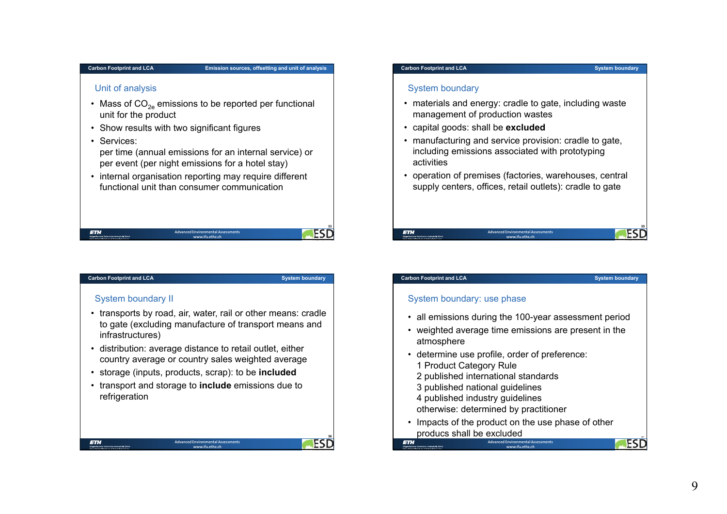#### **Emission sources, offsetting and unit of analysis**

## Unit of analysis

- Mass of CO $_{2e}$  emissions to be reported per functional unit for the product
- Show results with two significant figures
- Services:

per time (annual emissions for an internal service) or per event (per night emissions for a hotel stay)

• internal organisation reporting may require different functional unit than consumer communication

| <b>ETH</b><br>Eidenstättliche Technische Hochschule Zürich<br>Suder Federal Institute of Technology Portch | <b>Advanced Environmental Assessments</b><br>www.ifu.ethz.ch |  |
|------------------------------------------------------------------------------------------------------------|--------------------------------------------------------------|--|

#### **Carbon Footprint and LCA**

**System boundary**

**36**

ES

## System boundary II

- transports by road, air, water, rail or other means: cradle to gate (excluding manufacture of transport means and infrastructures)
- distribution: average distance to retail outlet, either country average or country sales weighted average
- storage (inputs, products, scrap): to be **included**
- transport and storage to **include** emissions due to refrigeration

#### **System boundary**

## System boundary

- materials and energy: cradle to gate, including waste management of production wastes
- capital goods: shall be **excluded**
- manufacturing and service provision: cradle to gate, including emissions associated with prototyping activities
- operation of premises (factories, warehouses, central supply centers, offices, retail outlets): cradle to gate

## **ETH**

**Carbon Footprint and LCA**

#### **Advanced Environmental Assessmentswww.ifu.ethz.ch**

#### **System boundary**

**ESD** 

## System boundary: use phase

- all emissions during the 100-year assessment period
- weighted average time emissions are present in the atmosphere
- determine use profile, order of preference:
	- 1 Product Category Rule
	- 2 published international standards
	- 3 published national guidelines
	- 4 published industry guidelines
	- otherwise: determined by practitioner
- Impacts of the product on the use phase of other producs shall be excluded

**Advanced Environmental Assessmentswww.ifu.ethz.ch**



**Advanced Environmental Assessments www.ifu.ethz.ch**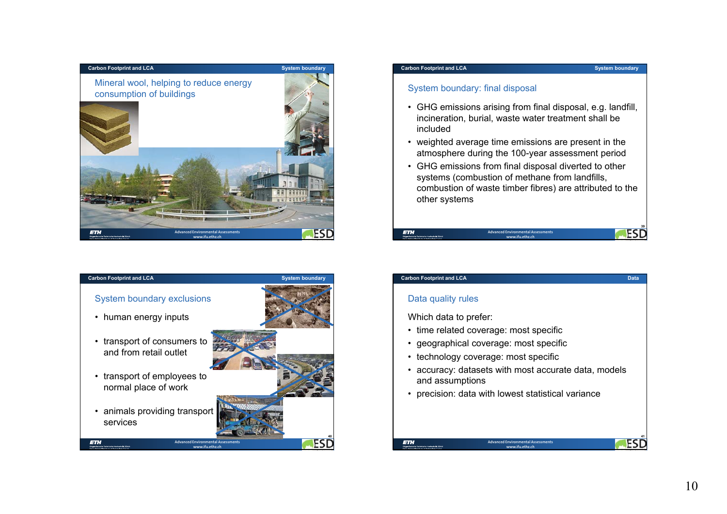



## System boundary: final disposal

- GHG emissions arising from final disposal, e.g. landfill, incineration, burial, waste water treatment shall be included
- weighted average time emissions are present in the atmosphere during the 100-year assessment period
- GHG emissions from final disposal diverted to other systems (combustion of methane from landfills, combustion of waste timber fibres) are attributed to the other systems

**www.ifu.ethz.ch**

**ETH Advanced Environmental Assessments** **ESD** 

**Data**

#### **Carbon Footprint and LCA**

## Data quality rules

Which data to prefer:

- time related coverage: most specific
- geographical coverage: most specific
- technology coverage: most specific
- accuracy: datasets with most accurate data, models and assumptions
- precision: data with lowest statistical variance

## **ETH**

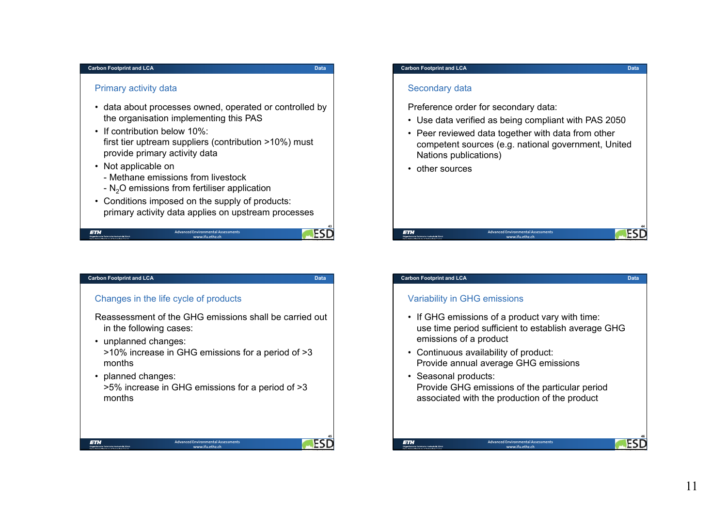ETH

#### **Data**

**43**

**Data**

**45**

## Primary activity data

- data about processes owned, operated or controlled by the organisation implementing this PAS
- If contribution below 10%:first tier uptream suppliers (contribution >10%) must provide primary activity data
- Not applicable on
	- Methane emissions from livestock
	- N $_{\rm 2}$ O emissions from fertiliser application
- Conditions imposed on the supply of products: primary activity data applies on upstream processes

| <b>ETH</b>                                  | <b>Advanced Environmental Assessments</b> |  |
|---------------------------------------------|-------------------------------------------|--|
| Eidzenössische Technische Hochschule Zürich | www.ifu.ethz.ch                           |  |

#### **Carbon Footprint and LCA**

## Changes in the life cycle of products

- Reassessment of the GHG emissions shall be carried out in the following cases:
- unplanned changes:
	- >10% increase in GHG emissions for a period of >3 months
- planned changes:

>5% increase in GHG emissions for a period of >3 months

> **Advanced Environmental Assessments www.ifu.ethz.ch**

#### **Carbon Footprint and LCA**

## Secondary data

Preference order for secondary data:

- Use data verified as being compliant with PAS 2050
- Peer reviewed data together with data from other competent sources (e.g. national government, United Nations publications)
- other sources



## **Carbon Footprint and LCA**

## Variability in GHG emissions

- If GHG emissions of a product vary with time: use time period sufficient to establish average GHG emissions of a product
- Continuous availability of product: Provide annual average GHG emissions
- Seasonal products: Provide GHG emissions of the particular period associated with the production of the product



**Data**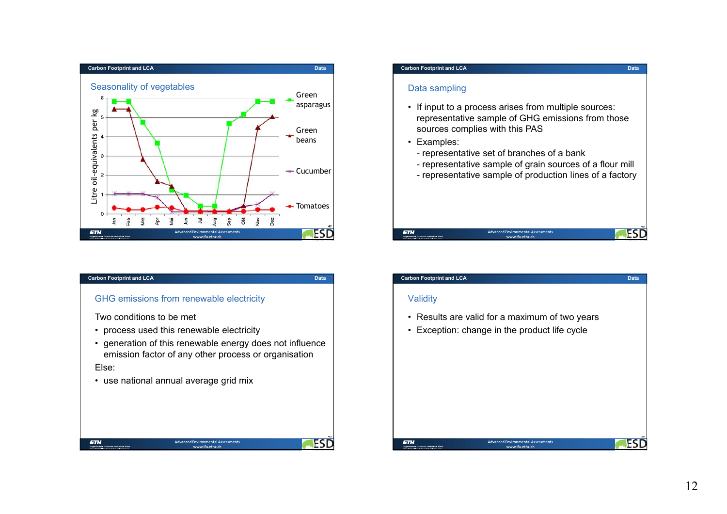

## GHG emissions from renewable electricity

Two conditions to be met

- process used this renewable electricity
- generation of this renewable energy does not influence emission factor of any other process or organisation

Else:

• use national annual average grid mix

## **Carbon Footprint and LCA**

## Data sampling

- If input to a process arises from multiple sources: representative sample of GHG emissions from those sources complies with this PAS
- Examples:
	- representative set of branches of a bank
	- representative sample of grain sources of a flour mill
	- representative sample of production lines of a factory

#### **48ESD ETH Advanced Environmental Assessmentswww.ifu.ethz.ch**

#### **Carbon Footprint and LCA**

## **Validity**

- Results are valid for a maximum of two years
- Exception: change in the product life cycle



**Data**

**Data**

**49ESD**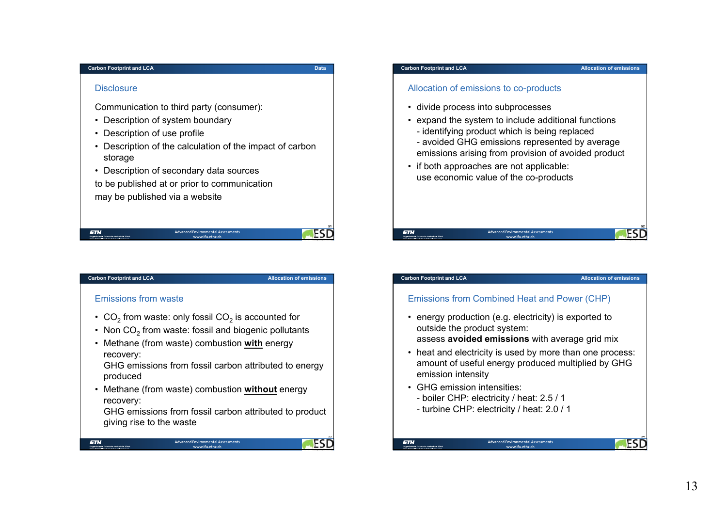## **Disclosure**

Communication to third party (consumer):

- Description of system boundary
- Description of use profile
- Description of the calculation of the impact of carbon storage

**Advanced Environmental Assessmentswww.ifu.ethz.ch**

• Description of secondary data sources

to be published at or prior to communication may be published via a website

## **Carbon Footprint and LCA**

**ETH** 

**Allocation of emissions**

**51ESD** 

**53**

**FSD** 

**Data**

## Emissions from waste

- $\rm CO_2$  from waste: only fossil CO $_2$  is accounted for
- Non CO $_2$  from waste: fossil and biogenic pollutants
- Methane (from waste) combustion **with** energy recovery:

GHG emissions from fossil carbon attributed to energy produced

• Methane (from waste) combustion **without** energy recovery:

> **Advanced Environmental Assessments www.ifu.ethz.ch**

GHG emissions from fossil carbon attributed to product giving rise to the waste

## **Carbon Footprint and LCA**

## Allocation of emissions to co-products

- divide process into subprocesses
- expand the system to include additional functions
	- identifying product which is being replaced
- avoided GHG emissions represented by average emissions arising from provision of avoided product

**Advanced Environmental Assessmentswww.ifu.ethz.ch**

• if both approaches are not applicable: use economic value of the co-products

#### **Carbon Footprint and LCA**

**ETH** 

## Emissions from Combined Heat and Power (CHP)

• energy production (e.g. electricity) is exported to outside the product system:

assess **avoided emissions** with average grid mix

- heat and electricity is used by more than one process: amount of useful energy produced multiplied by GHG emission intensity
- GHG emission intensities:
	- boiler CHP: electricity / heat: 2.5 / 1
	- turbine CHP: electricity / heat: 2.0 / 1



**52ESD** 

**Allocation of emissions**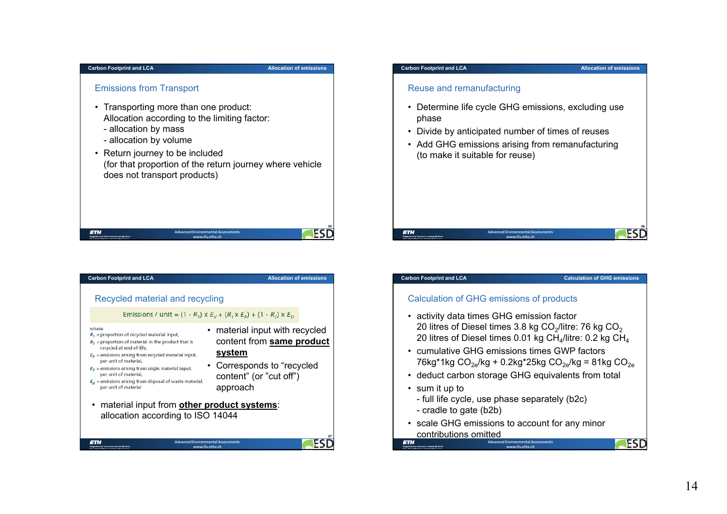#### **Allocation of emissions**

**FSD** 

## Emissions from Transport

- Transporting more than one product: Allocation according to the limiting factor:
	- allocation by mass
	- allocation by volume
- Return journey to be included (for that proportion of the return journey where vehicle does not transport products)

ETH **Advanced Environmental Assessmentswww.ifu.ethz.ch**



#### **Carbon Footprint and LCA**

**Allocation of emissions**

## Reuse and remanufacturing

- Determine life cycle GHG emissions, excluding use phase
- Divide by anticipated number of times of reuses
- Add GHG emissions arising from remanufacturing (to make it suitable for reuse)

# **ETH**

#### **Carbon Footprint and LCA**

#### **Calculation of GHG emissions**

**56ESD** 

ESD

## Calculation of GHG emissions of products

• activity data times GHG emission factor 20 litres of Diesel times 3.8 kg  $CO<sub>2</sub>/$ litre: 76 kg  $CO<sub>2</sub>$ 20 litres of Diesel times 0.01 kg  $CH<sub>4</sub>/$ litre: 0.2 kg  $CH<sub>4</sub>$ 

**Advanced Environmental Assessmentswww.ifu.ethz.ch**

- cumulative GHG emissions times GWP factors76kg\*1kg  $CO_{2e}/kg + 0.2kg*25kg CO_{2e}/kg = 81kg CO_{2e}$
- deduct carbon storage GHG equivalents from total
- sum it up to

**ETH** 

- full life cycle, use phase separately (b2c)
- cradle to gate (b2b)
- scale GHG emissions to account for any minor contributions omitted

**Advanced Environmental Assessments www.ifu.ethz.ch**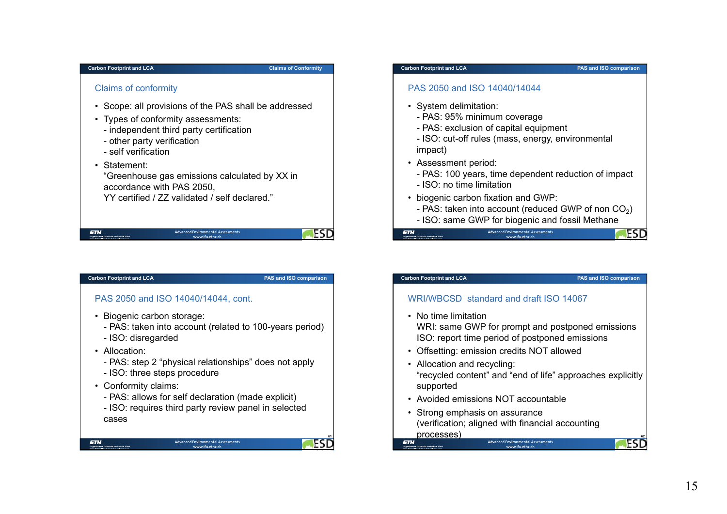## **Claims of Conformity**

## Claims of conformity

- Scope: all provisions of the PAS shall be addressed
- Types of conformity assessments:
	- independent third party certification
	- other party verification
	- self verification

## • Statement:

"Greenhouse gas emissions calculated by XX in accordance with PAS 2050, YY certified / ZZ validated / self declared."

**ETH** 

#### **Advanced Environmental Assessments www.ifu.ethz.ch**

## **Carbon Footprint and LCA**

**PAS and ISO comparison**

**ESD** 

**61**

ES

## PAS 2050 and ISO 14040/14044, cont.

- Biogenic carbon storage:
	- PAS: taken into account (related to 100-years period)
	- ISO: disregarded
- Allocation:

**ETH** 

- PAS: step 2 "physical relationships" does not apply
- ISO: three steps procedure
- Conformity claims:
	- PAS: allows for self declaration (made explicit)
	- ISO: requires third party review panel in selected cases

#### **Carbon Footprint and LCA**

**PAS and ISO comparison**

## PAS 2050 and ISO 14040/14044

- System delimitation:
	- PAS: 95% minimum coverage
	- PAS: exclusion of capital equipment
	- ISO: cut-off rules (mass, energy, environmental impact)
- Assessment period:
	- PAS: 100 years, time dependent reduction of impact
	- ISO: no time limitation
- biogenic carbon fixation and GWP:
	- PAS: taken into account (reduced GWP of non CO $_2$ )
	- **Advanced Environmental Assessmentswww.ifu.ethz.ch**- ISO: same GWP for biogenic and fossil Methane

**ETH** 

#### **Carbon Footprint and LCA**

## **PAS and ISO comparison**

**ESD** 

## WRI/WBCSD standard and draft ISO 14067

- No time limitation WRI: same GWP for prompt and postponed emissions ISO: report time period of postponed emissions
- Offsetting: emission credits NOT allowed
- Allocation and recycling: "recycled content" and "end of life" approaches explicitly supported
- Avoided emissions NOT accountable
- Strong emphasis on assurance (verification; aligned with financial accounting processes)